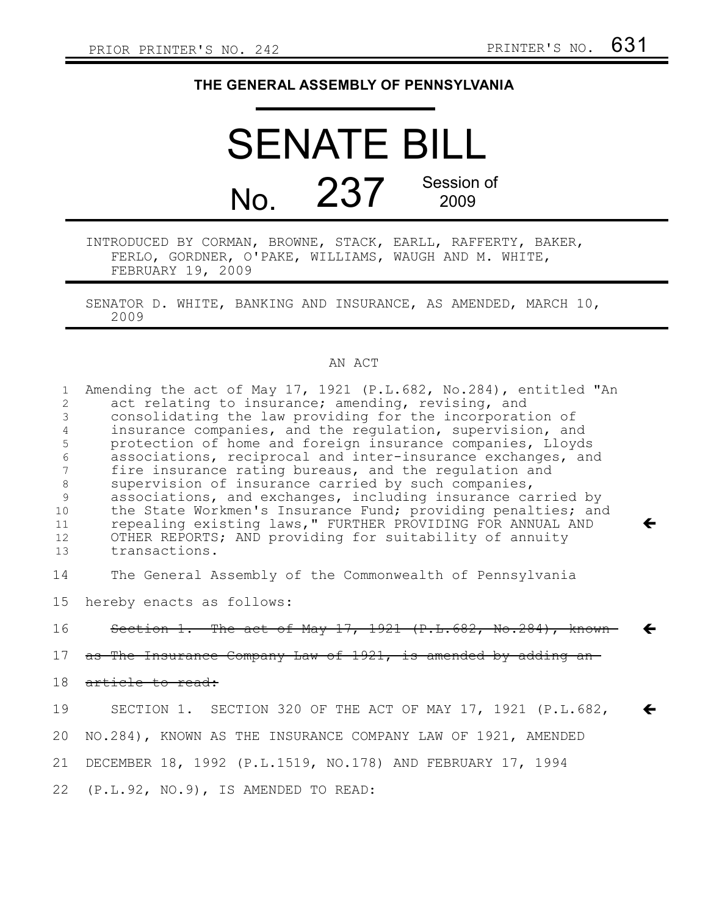## **THE GENERAL ASSEMBLY OF PENNSYLVANIA**

## SENATE BILL No. 237 Session of 2009 INTRODUCED BY CORMAN, BROWNE, STACK, EARLL, RAFFERTY, BAKER,

FERLO, GORDNER, O'PAKE, WILLIAMS, WAUGH AND M. WHITE, FEBRUARY 19, 2009

SENATOR D. WHITE, BANKING AND INSURANCE, AS AMENDED, MARCH 10, 2009

## AN ACT

| $\mathbf{1}$<br>2<br>3<br>4<br>5<br>6<br>7<br>$8\,$<br>$\overline{9}$<br>10<br>11<br>12<br>13 | Amending the act of May 17, 1921 (P.L.682, No.284), entitled "An<br>act relating to insurance; amending, revising, and<br>consolidating the law providing for the incorporation of<br>insurance companies, and the regulation, supervision, and<br>protection of home and foreign insurance companies, Lloyds<br>associations, reciprocal and inter-insurance exchanges, and<br>fire insurance rating bureaus, and the regulation and<br>supervision of insurance carried by such companies,<br>associations, and exchanges, including insurance carried by<br>the State Workmen's Insurance Fund; providing penalties; and<br>repealing existing laws," FURTHER PROVIDING FOR ANNUAL AND<br>←<br>OTHER REPORTS; AND providing for suitability of annuity<br>transactions. |
|-----------------------------------------------------------------------------------------------|----------------------------------------------------------------------------------------------------------------------------------------------------------------------------------------------------------------------------------------------------------------------------------------------------------------------------------------------------------------------------------------------------------------------------------------------------------------------------------------------------------------------------------------------------------------------------------------------------------------------------------------------------------------------------------------------------------------------------------------------------------------------------|
| 14                                                                                            | The General Assembly of the Commonwealth of Pennsylvania                                                                                                                                                                                                                                                                                                                                                                                                                                                                                                                                                                                                                                                                                                                   |
| 15 <sub>1</sub>                                                                               | hereby enacts as follows:                                                                                                                                                                                                                                                                                                                                                                                                                                                                                                                                                                                                                                                                                                                                                  |
| 16                                                                                            | Section 1. The act of May 17, 1921 (P.L.682, No.284), known                                                                                                                                                                                                                                                                                                                                                                                                                                                                                                                                                                                                                                                                                                                |
| 17                                                                                            | as The Insurance Company Law of 1921, is amended by adding an                                                                                                                                                                                                                                                                                                                                                                                                                                                                                                                                                                                                                                                                                                              |
| 18                                                                                            | article to read:                                                                                                                                                                                                                                                                                                                                                                                                                                                                                                                                                                                                                                                                                                                                                           |
| 19                                                                                            | SECTION 1. SECTION 320 OF THE ACT OF MAY 17, 1921 (P.L.682,<br>←                                                                                                                                                                                                                                                                                                                                                                                                                                                                                                                                                                                                                                                                                                           |
| 20                                                                                            | NO.284), KNOWN AS THE INSURANCE COMPANY LAW OF 1921, AMENDED                                                                                                                                                                                                                                                                                                                                                                                                                                                                                                                                                                                                                                                                                                               |
| 21                                                                                            | DECEMBER 18, 1992 (P.L.1519, NO.178) AND FEBRUARY 17, 1994                                                                                                                                                                                                                                                                                                                                                                                                                                                                                                                                                                                                                                                                                                                 |
|                                                                                               | 22 (P.L.92, NO.9), IS AMENDED TO READ:                                                                                                                                                                                                                                                                                                                                                                                                                                                                                                                                                                                                                                                                                                                                     |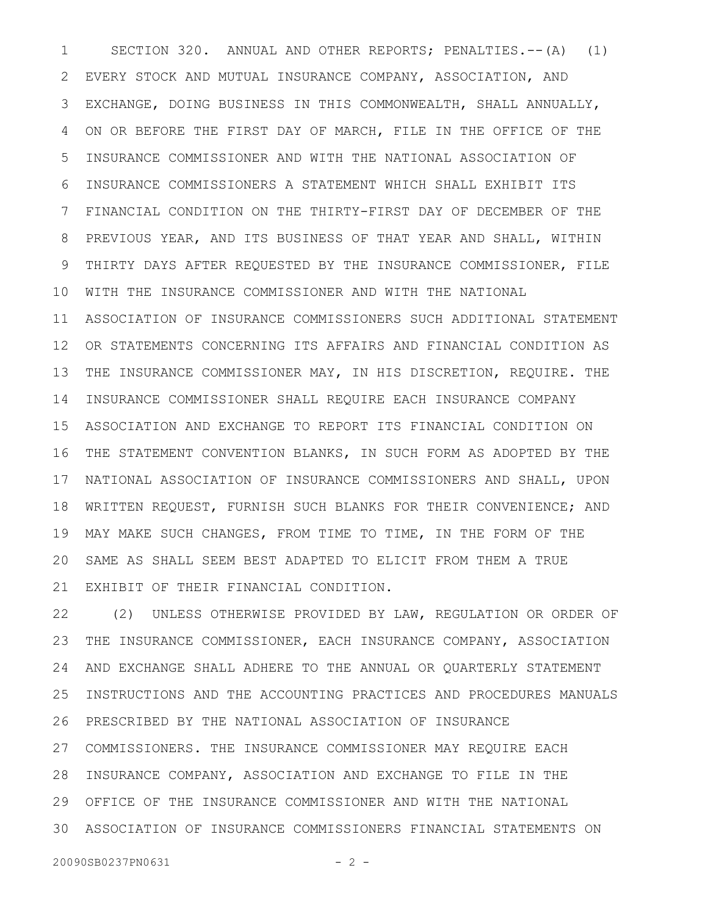SECTION 320. ANNUAL AND OTHER REPORTS; PENALTIES.--(A) (1) EVERY STOCK AND MUTUAL INSURANCE COMPANY, ASSOCIATION, AND EXCHANGE, DOING BUSINESS IN THIS COMMONWEALTH, SHALL ANNUALLY, ON OR BEFORE THE FIRST DAY OF MARCH, FILE IN THE OFFICE OF THE INSURANCE COMMISSIONER AND WITH THE NATIONAL ASSOCIATION OF INSURANCE COMMISSIONERS A STATEMENT WHICH SHALL EXHIBIT ITS FINANCIAL CONDITION ON THE THIRTY-FIRST DAY OF DECEMBER OF THE PREVIOUS YEAR, AND ITS BUSINESS OF THAT YEAR AND SHALL, WITHIN THIRTY DAYS AFTER REQUESTED BY THE INSURANCE COMMISSIONER, FILE WITH THE INSURANCE COMMISSIONER AND WITH THE NATIONAL ASSOCIATION OF INSURANCE COMMISSIONERS SUCH ADDITIONAL STATEMENT OR STATEMENTS CONCERNING ITS AFFAIRS AND FINANCIAL CONDITION AS THE INSURANCE COMMISSIONER MAY, IN HIS DISCRETION, REQUIRE. THE INSURANCE COMMISSIONER SHALL REQUIRE EACH INSURANCE COMPANY ASSOCIATION AND EXCHANGE TO REPORT ITS FINANCIAL CONDITION ON THE STATEMENT CONVENTION BLANKS, IN SUCH FORM AS ADOPTED BY THE NATIONAL ASSOCIATION OF INSURANCE COMMISSIONERS AND SHALL, UPON WRITTEN REQUEST, FURNISH SUCH BLANKS FOR THEIR CONVENIENCE; AND MAY MAKE SUCH CHANGES, FROM TIME TO TIME, IN THE FORM OF THE SAME AS SHALL SEEM BEST ADAPTED TO ELICIT FROM THEM A TRUE EXHIBIT OF THEIR FINANCIAL CONDITION. 1 2 3 4 5 6 7 8 9 10 11 12 13 14 15 16 17 18 19 20 21

(2) UNLESS OTHERWISE PROVIDED BY LAW, REGULATION OR ORDER OF THE INSURANCE COMMISSIONER, EACH INSURANCE COMPANY, ASSOCIATION AND EXCHANGE SHALL ADHERE TO THE ANNUAL OR QUARTERLY STATEMENT INSTRUCTIONS AND THE ACCOUNTING PRACTICES AND PROCEDURES MANUALS PRESCRIBED BY THE NATIONAL ASSOCIATION OF INSURANCE 27 COMMISSIONERS. THE INSURANCE COMMISSIONER MAY REQUIRE EACH 28 INSURANCE COMPANY, ASSOCIATION AND EXCHANGE TO FILE IN THE OFFICE OF THE INSURANCE COMMISSIONER AND WITH THE NATIONAL 29 ASSOCIATION OF INSURANCE COMMISSIONERS FINANCIAL STATEMENTS ON 3022 23 24 25 26

20090SB0237PN0631 - 2 -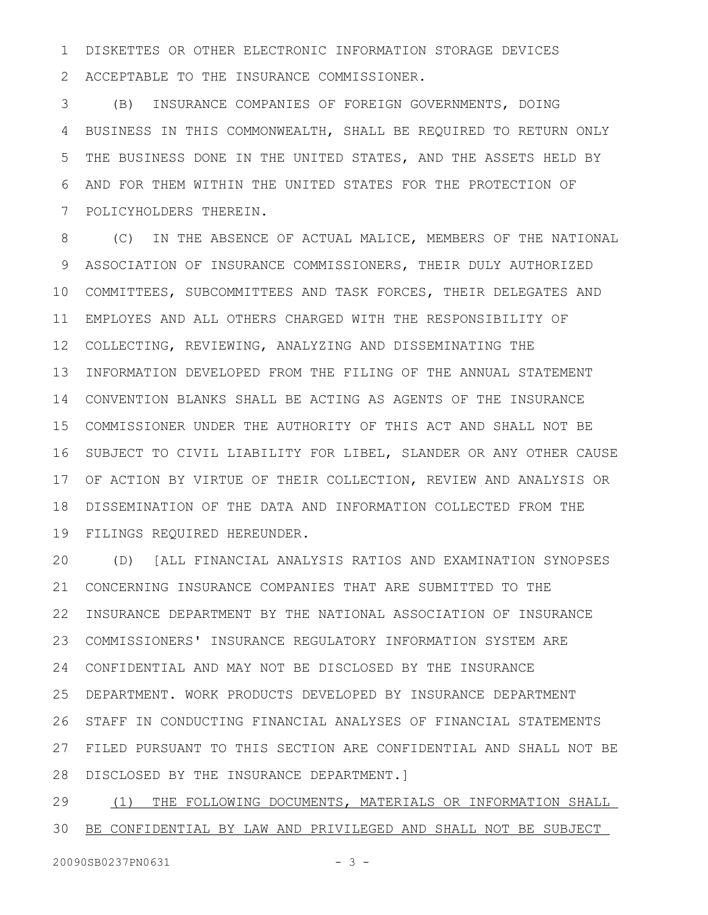DISKETTES OR OTHER ELECTRONIC INFORMATION STORAGE DEVICES ACCEPTABLE TO THE INSURANCE COMMISSIONER. 1 2

(B) INSURANCE COMPANIES OF FOREIGN GOVERNMENTS, DOING BUSINESS IN THIS COMMONWEALTH, SHALL BE REQUIRED TO RETURN ONLY THE BUSINESS DONE IN THE UNITED STATES, AND THE ASSETS HELD BY AND FOR THEM WITHIN THE UNITED STATES FOR THE PROTECTION OF POLICYHOLDERS THEREIN. 3 4 5 6 7

(C) IN THE ABSENCE OF ACTUAL MALICE, MEMBERS OF THE NATIONAL ASSOCIATION OF INSURANCE COMMISSIONERS, THEIR DULY AUTHORIZED COMMITTEES, SUBCOMMITTEES AND TASK FORCES, THEIR DELEGATES AND EMPLOYES AND ALL OTHERS CHARGED WITH THE RESPONSIBILITY OF COLLECTING, REVIEWING, ANALYZING AND DISSEMINATING THE INFORMATION DEVELOPED FROM THE FILING OF THE ANNUAL STATEMENT 14 CONVENTION BLANKS SHALL BE ACTING AS AGENTS OF THE INSURANCE COMMISSIONER UNDER THE AUTHORITY OF THIS ACT AND SHALL NOT BE 15 16 SUBJECT TO CIVIL LIABILITY FOR LIBEL, SLANDER OR ANY OTHER CAUSE OF ACTION BY VIRTUE OF THEIR COLLECTION, REVIEW AND ANALYSIS OR 17 DISSEMINATION OF THE DATA AND INFORMATION COLLECTED FROM THE FILINGS REQUIRED HEREUNDER. 8 9 10 11 12 13 18 19

(D) [ALL FINANCIAL ANALYSIS RATIOS AND EXAMINATION SYNOPSES CONCERNING INSURANCE COMPANIES THAT ARE SUBMITTED TO THE INSURANCE DEPARTMENT BY THE NATIONAL ASSOCIATION OF INSURANCE COMMISSIONERS' INSURANCE REGULATORY INFORMATION SYSTEM ARE CONFIDENTIAL AND MAY NOT BE DISCLOSED BY THE INSURANCE 24 DEPARTMENT. WORK PRODUCTS DEVELOPED BY INSURANCE DEPARTMENT STAFF IN CONDUCTING FINANCIAL ANALYSES OF FINANCIAL STATEMENTS FILED PURSUANT TO THIS SECTION ARE CONFIDENTIAL AND SHALL NOT BE 27 DISCLOSED BY THE INSURANCE DEPARTMENT.] 28 20 21 22 23 25 26

(1) THE FOLLOWING DOCUMENTS, MATERIALS OR INFORMATION SHALL BE CONFIDENTIAL BY LAW AND PRIVILEGED AND SHALL NOT BE SUBJECT 29 30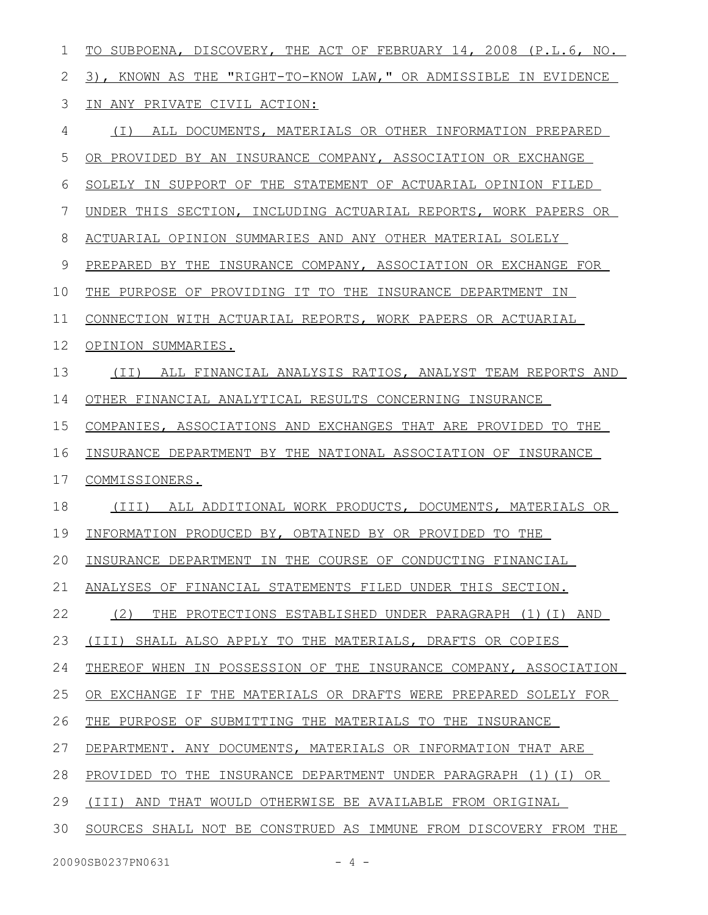| 1  | TO SUBPOENA, DISCOVERY, THE ACT OF FEBRUARY 14, 2008 (P.L.6, NO. |
|----|------------------------------------------------------------------|
| 2  | 3), KNOWN AS THE "RIGHT-TO-KNOW LAW," OR ADMISSIBLE IN EVIDENCE  |
| 3  | IN ANY PRIVATE CIVIL ACTION:                                     |
| 4  | ALL DOCUMENTS, MATERIALS OR OTHER INFORMATION PREPARED<br>( I )  |
| 5  | OR PROVIDED BY AN INSURANCE COMPANY, ASSOCIATION OR EXCHANGE     |
| 6  | SOLELY IN SUPPORT OF THE STATEMENT OF ACTUARIAL OPINION FILED    |
| 7  | UNDER THIS SECTION, INCLUDING ACTUARIAL REPORTS, WORK PAPERS OR  |
| 8  | ACTUARIAL OPINION SUMMARIES AND ANY OTHER MATERIAL SOLELY        |
| 9  | PREPARED BY THE INSURANCE COMPANY, ASSOCIATION OR EXCHANGE FOR   |
| 10 | THE PURPOSE OF PROVIDING IT TO THE INSURANCE DEPARTMENT IN       |
| 11 | CONNECTION WITH ACTUARIAL REPORTS, WORK PAPERS OR ACTUARIAL      |
| 12 | OPINION SUMMARIES.                                               |
| 13 | ALL FINANCIAL ANALYSIS RATIOS, ANALYST TEAM REPORTS AND<br>(TI)  |
| 14 | OTHER FINANCIAL ANALYTICAL RESULTS CONCERNING INSURANCE          |
| 15 | COMPANIES, ASSOCIATIONS AND EXCHANGES THAT ARE PROVIDED TO THE   |
| 16 | INSURANCE DEPARTMENT BY THE NATIONAL ASSOCIATION OF INSURANCE    |
| 17 | COMMISSIONERS.                                                   |
| 18 | ALL ADDITIONAL WORK PRODUCTS, DOCUMENTS, MATERIALS OR<br>(III)   |
| 19 | INFORMATION PRODUCED BY, OBTAINED BY OR PROVIDED TO THE          |
| 20 | INSURANCE DEPARTMENT IN THE COURSE OF CONDUCTING FINANCIAL       |
| 21 | ANALYSES OF FINANCIAL STATEMENTS FILED UNDER THIS SECTION.       |
| 22 | (2)<br>THE PROTECTIONS ESTABLISHED UNDER PARAGRAPH (1) (I) AND   |
| 23 | (III) SHALL ALSO APPLY TO THE MATERIALS, DRAFTS OR COPIES        |
| 24 | THEREOF WHEN IN POSSESSION OF THE INSURANCE COMPANY, ASSOCIATION |
| 25 | OR EXCHANGE IF THE MATERIALS OR DRAFTS WERE PREPARED SOLELY FOR  |
| 26 | THE PURPOSE OF SUBMITTING THE MATERIALS TO THE INSURANCE         |
| 27 | DEPARTMENT. ANY DOCUMENTS, MATERIALS OR INFORMATION THAT ARE     |
| 28 | PROVIDED TO THE INSURANCE DEPARTMENT UNDER PARAGRAPH (1) (I) OR  |
| 29 | (III) AND THAT WOULD OTHERWISE BE AVAILABLE FROM ORIGINAL        |
| 30 | SOURCES SHALL NOT BE CONSTRUED AS IMMUNE FROM DISCOVERY FROM THE |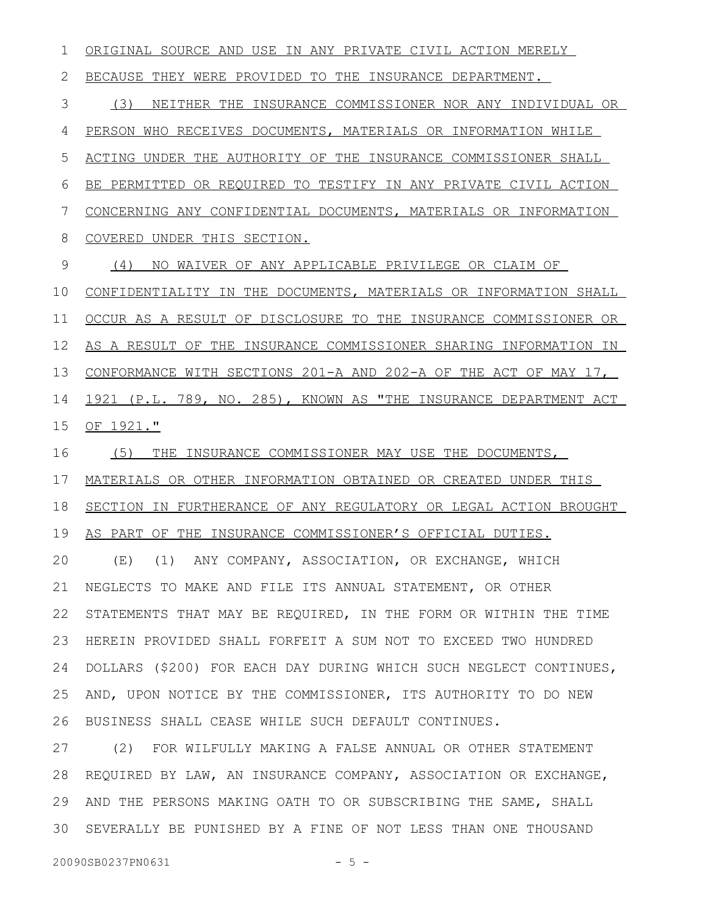ORIGINAL SOURCE AND USE IN ANY PRIVATE CIVIL ACTION MERELY BECAUSE THEY WERE PROVIDED TO THE INSURANCE DEPARTMENT. (3) NEITHER THE INSURANCE COMMISSIONER NOR ANY INDIVIDUAL OR PERSON WHO RECEIVES DOCUMENTS, MATERIALS OR INFORMATION WHILE ACTING UNDER THE AUTHORITY OF THE INSURANCE COMMISSIONER SHALL BE PERMITTED OR REQUIRED TO TESTIFY IN ANY PRIVATE CIVIL ACTION CONCERNING ANY CONFIDENTIAL DOCUMENTS, MATERIALS OR INFORMATION COVERED UNDER THIS SECTION. (4) NO WAIVER OF ANY APPLICABLE PRIVILEGE OR CLAIM OF CONFIDENTIALITY IN THE DOCUMENTS, MATERIALS OR INFORMATION SHALL OCCUR AS A RESULT OF DISCLOSURE TO THE INSURANCE COMMISSIONER OR AS A RESULT OF THE INSURANCE COMMISSIONER SHARING INFORMATION IN CONFORMANCE WITH SECTIONS 201-A AND 202-A OF THE ACT OF MAY 17, 1921 (P.L. 789, NO. 285), KNOWN AS "THE INSURANCE DEPARTMENT ACT OF 1921." (5) THE INSURANCE COMMISSIONER MAY USE THE DOCUMENTS, MATERIALS OR OTHER INFORMATION OBTAINED OR CREATED UNDER THIS SECTION IN FURTHERANCE OF ANY REGULATORY OR LEGAL ACTION BROUGHT AS PART OF THE INSURANCE COMMISSIONER'S OFFICIAL DUTIES. (E) (1) ANY COMPANY, ASSOCIATION, OR EXCHANGE, WHICH NEGLECTS TO MAKE AND FILE ITS ANNUAL STATEMENT, OR OTHER STATEMENTS THAT MAY BE REQUIRED, IN THE FORM OR WITHIN THE TIME HEREIN PROVIDED SHALL FORFEIT A SUM NOT TO EXCEED TWO HUNDRED DOLLARS (\$200) FOR EACH DAY DURING WHICH SUCH NEGLECT CONTINUES, AND, UPON NOTICE BY THE COMMISSIONER, ITS AUTHORITY TO DO NEW BUSINESS SHALL CEASE WHILE SUCH DEFAULT CONTINUES. (2) FOR WILFULLY MAKING A FALSE ANNUAL OR OTHER STATEMENT REQUIRED BY LAW, AN INSURANCE COMPANY, ASSOCIATION OR EXCHANGE, AND THE PERSONS MAKING OATH TO OR SUBSCRIBING THE SAME, SHALL 1 2 3 4 5 6 7 8 9 10 11 12 13 14 15 16 17 18 19 20 21 22 23 24 25 26 27 28 29

SEVERALLY BE PUNISHED BY A FINE OF NOT LESS THAN ONE THOUSAND 30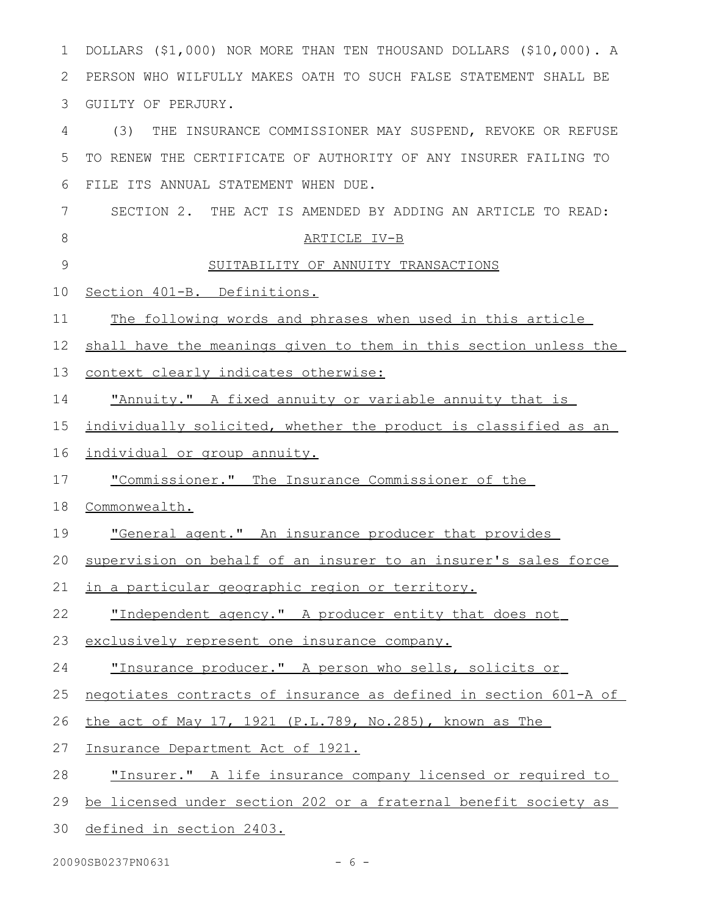| 1  | DOLLARS (\$1,000) NOR MORE THAN TEN THOUSAND DOLLARS (\$10,000). A |
|----|--------------------------------------------------------------------|
| 2  | PERSON WHO WILFULLY MAKES OATH TO SUCH FALSE STATEMENT SHALL BE    |
| 3  | GUILTY OF PERJURY.                                                 |
| 4  | (3)<br>THE INSURANCE COMMISSIONER MAY SUSPEND, REVOKE OR REFUSE    |
| 5  | TO RENEW THE CERTIFICATE OF AUTHORITY OF ANY INSURER FAILING TO    |
| 6  | FILE ITS ANNUAL STATEMENT WHEN DUE.                                |
| 7  | SECTION 2. THE ACT IS AMENDED BY ADDING AN ARTICLE TO READ:        |
| 8  | ARTICLE IV-B                                                       |
| 9  | SUITABILITY OF ANNUITY TRANSACTIONS                                |
| 10 | Section 401-B. Definitions.                                        |
| 11 | The following words and phrases when used in this article          |
| 12 | shall have the meanings given to them in this section unless the   |
| 13 | context clearly indicates otherwise:                               |
| 14 | "Annuity." A fixed annuity or variable annuity that is             |
| 15 | individually solicited, whether the product is classified as an    |
| 16 | individual or group annuity.                                       |
| 17 | "Commissioner." The Insurance Commissioner of the                  |
| 18 | Commonwealth.                                                      |
| 19 | "General agent." An insurance producer that provides               |
| 20 | supervision on behalf of an insurer to an insurer's sales force    |
| 21 | <u>in a particular geographic region or territory.</u>             |
| 22 | "Independent agency." A producer entity that does not              |
| 23 | exclusively represent one insurance company.                       |
| 24 | "Insurance producer." A person who sells, solicits or              |
| 25 | negotiates contracts of insurance as defined in section 601-A of   |
| 26 | <u>the act of May 17, 1921 (P.L.789, No.285), known as The</u>     |
| 27 | Insurance Department Act of 1921.                                  |
| 28 | "Insurer." A life insurance company licensed or required to        |
| 29 | be licensed under section 202 or a fraternal benefit society as    |
| 30 |                                                                    |

20090SB0237PN0631 - 6 -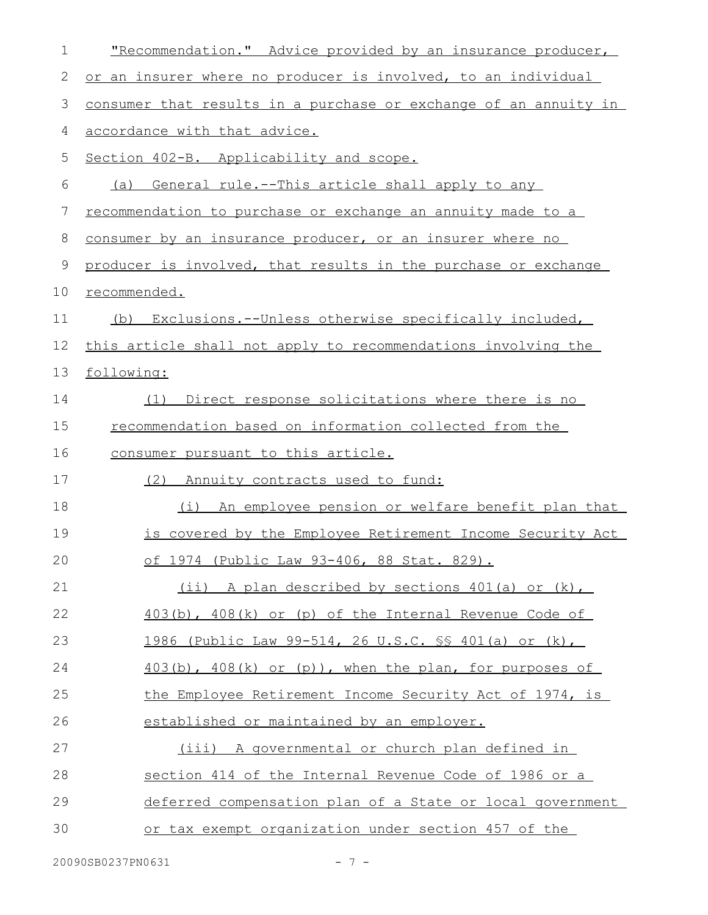| 1           | "Recommendation." Advice provided by an insurance producer,      |
|-------------|------------------------------------------------------------------|
| $\mathbf 2$ | or an insurer where no producer is involved, to an individual    |
| 3           | consumer that results in a purchase or exchange of an annuity in |
| 4           | accordance with that advice.                                     |
| 5           | Section 402-B. Applicability and scope.                          |
| 6           | (a) General rule.--This article shall apply to any               |
| 7           | recommendation to purchase or exchange an annuity made to a      |
| $\,8\,$     | consumer by an insurance producer, or an insurer where no        |
| 9           | producer is involved, that results in the purchase or exchange   |
| 10          | recommended.                                                     |
| 11          | (b) Exclusions.--Unless otherwise specifically included,         |
| 12          | this article shall not apply to recommendations involving the    |
| 13          | following:                                                       |
| 14          | Direct response solicitations where there is no<br>(1)           |
| 15          | recommendation based on information collected from the           |
| 16          | consumer pursuant to this article.                               |
| 17          | Annuity contracts used to fund:<br>(2)                           |
| 18          | (i)<br>An employee pension or welfare benefit plan that          |
| 19          | is covered by the Employee Retirement Income Security Act        |
| 20          | of 1974 (Public Law 93-406, 88 Stat. 829).                       |
| 21          | (ii) A plan described by sections 401(a) or (k),                 |
| 22          | $403(b)$ , $408(k)$ or (p) of the Internal Revenue Code of       |
| 23          | 1986 (Public Law 99-514, 26 U.S.C. \$\$ 401(a) or (k),           |
| 24          | $403(b)$ , $408(k)$ or $(p)$ ), when the plan, for purposes of   |
| 25          | the Employee Retirement Income Security Act of 1974, is          |
| 26          | established or maintained by an employer.                        |
| 27          | (iii) A governmental or church plan defined in                   |
| 28          | section 414 of the Internal Revenue Code of 1986 or a            |
| 29          | deferred compensation plan of a State or local government        |
| 30          | or tax exempt organization under section 457 of the              |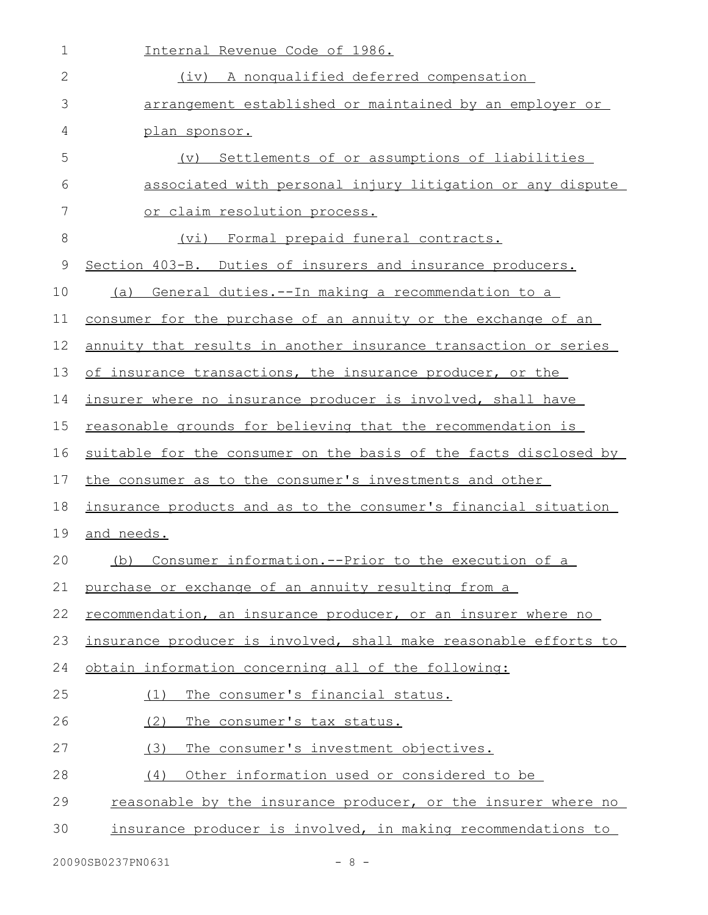| $\mathbf 1$ | Internal Revenue Code of 1986.                                   |
|-------------|------------------------------------------------------------------|
| 2           | (iv) A nonqualified deferred compensation                        |
| 3           | arrangement established or maintained by an employer or          |
| 4           | plan sponsor.                                                    |
| 5           | Settlements of or assumptions of liabilities<br>$(\nabla)$       |
| 6           | associated with personal injury litigation or any dispute        |
| 7           | or claim resolution process.                                     |
| 8           | Formal prepaid funeral contracts.<br>(vi)                        |
| $\mathsf 9$ | Section 403-B. Duties of insurers and insurance producers.       |
| 10          | General duties.--In making a recommendation to a<br>(a)          |
| 11          | consumer for the purchase of an annuity or the exchange of an    |
| 12          | annuity that results in another insurance transaction or series  |
| 13          | of insurance transactions, the insurance producer, or the        |
| 14          | insurer where no insurance producer is involved, shall have      |
| 15          | reasonable grounds for believing that the recommendation is      |
| 16          | suitable for the consumer on the basis of the facts disclosed by |
| 17          | the consumer as to the consumer's investments and other          |
| 18          | insurance products and as to the consumer's financial situation  |
| 19          | and needs.                                                       |
| 20          | (b)<br>Consumer information.--Prior to the execution of a        |
| 21          | purchase or exchange of an annuity resulting from a              |
| 22          | recommendation, an insurance producer, or an insurer where no    |
| 23          | insurance producer is involved, shall make reasonable efforts to |
| 24          | obtain information concerning all of the following:              |
| 25          | The consumer's financial status.<br>(1)                          |
| 26          | (2)<br>The consumer's tax status.                                |
| 27          | (3)<br>The consumer's investment objectives.                     |
| 28          | Other information used or considered to be<br>(4)                |
| 29          | reasonable by the insurance producer, or the insurer where no    |
| 30          | insurance producer is involved, in making recommendations to     |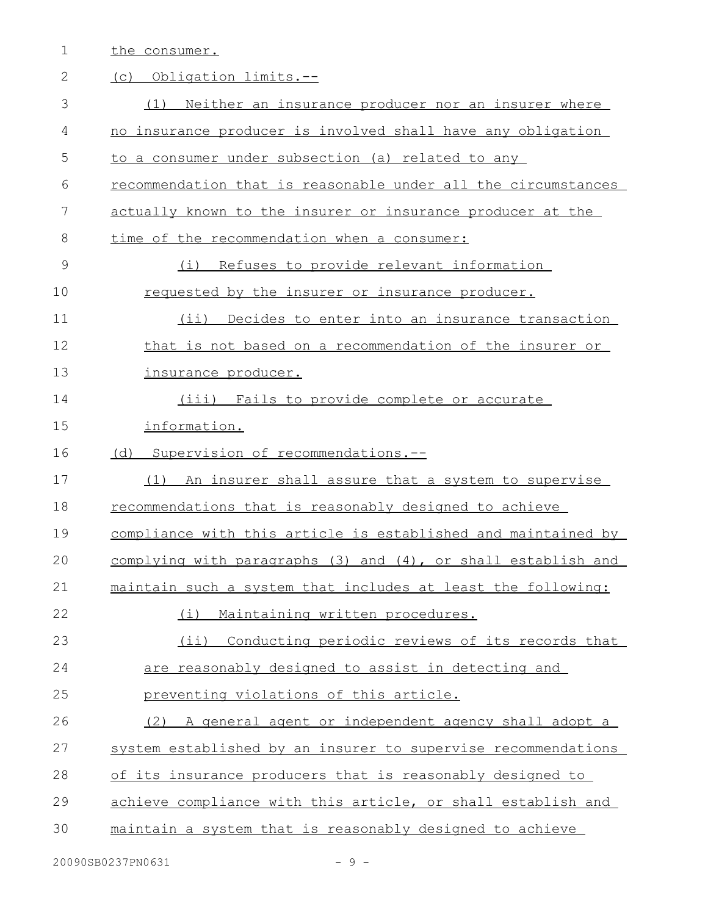1 the consumer.

| $\mathbf{2}$ | (c) Obligation limits.--                                      |
|--------------|---------------------------------------------------------------|
| 3            | Neither an insurance producer nor an insurer where<br>(1)     |
| 4            | no insurance producer is involved shall have any obligation   |
| 5            | to a consumer under subsection (a) related to any             |
| 6            | recommendation that is reasonable under all the circumstances |
| 7            | actually known to the insurer or insurance producer at the    |
| 8            | time of the recommendation when a consumer:                   |
| 9            | (i) Refuses to provide relevant information                   |
| 10           | requested by the insurer or insurance producer.               |
| 11           | (ii) Decides to enter into an insurance transaction           |
| 12           | that is not based on a recommendation of the insurer or       |
| 13           | insurance producer.                                           |
| 14           | (iii) Fails to provide complete or accurate                   |
| 15           | information.                                                  |
| 16           | (d) Supervision of recommendations.--                         |
| 17           | An insurer shall assure that a system to supervise<br>(1)     |
| 18           | recommendations that is reasonably designed to achieve        |
| 19           | compliance with this article is established and maintained by |
| 20           | complying with paragraphs (3) and (4), or shall establish and |
| 21           | maintain such a system that includes at least the following:  |
| 22           | Maintaining written procedures.<br>(i)                        |
| 23           | Conducting periodic reviews of its records that<br>$(i$ ii)   |
| 24           | are reasonably designed to assist in detecting and            |
| 25           | preventing violations of this article.                        |
| 26           | A general agent or independent agency shall adopt a<br>(2)    |
| 27           | system established by an insurer to supervise recommendations |
| 28           | of its insurance producers that is reasonably designed to     |
| 29           | achieve compliance with this article, or shall establish and  |
| 30           | maintain a system that is reasonably designed to achieve      |
|              |                                                               |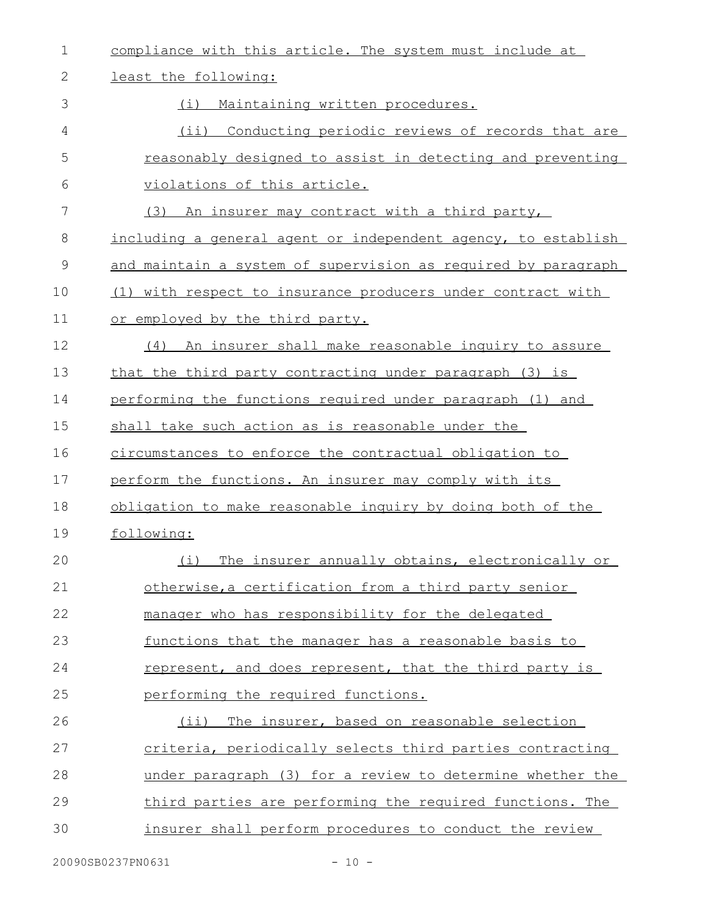| $\mathbf 1$   | compliance with this article. The system must include at      |
|---------------|---------------------------------------------------------------|
| 2             | least the following:                                          |
| 3             | Maintaining written procedures.<br>(i)                        |
| 4             | (ii) Conducting periodic reviews of records that are          |
| 5             | reasonably designed to assist in detecting and preventing     |
| 6             | violations of this article.                                   |
| 7             | (3) An insurer may contract with a third party,               |
| 8             | including a general agent or independent agency, to establish |
| $\mathcal{G}$ | and maintain a system of supervision as required by paragraph |
| 10            | (1) with respect to insurance producers under contract with   |
| 11            | or employed by the third party.                               |
| 12            | An insurer shall make reasonable inquiry to assure<br>(4)     |
| 13            | that the third party contracting under paragraph (3) is       |
| 14            | performing the functions required under paragraph (1) and     |
| 15            | shall take such action as is reasonable under the             |
| 16            | circumstances to enforce the contractual obligation to        |
| 17            | perform the functions. An insurer may comply with its         |
| 18            | obligation to make reasonable inquiry by doing both of the    |
| 19            | following:                                                    |
| 20            | (i) The insurer annually obtains, electronically or           |
| 21            | otherwise, a certification from a third party senior          |
| 22            | manager who has responsibility for the delegated              |
| 23            | functions that the manager has a reasonable basis to          |
| 24            | represent, and does represent, that the third party is        |
| 25            | performing the required functions.                            |
| 26            | (ii) The insurer, based on reasonable selection               |
| 27            | criteria, periodically selects third parties contracting      |
| 28            | under paragraph (3) for a review to determine whether the     |
| 29            | third parties are performing the required functions. The      |
| 30            | insurer shall perform procedures to conduct the review        |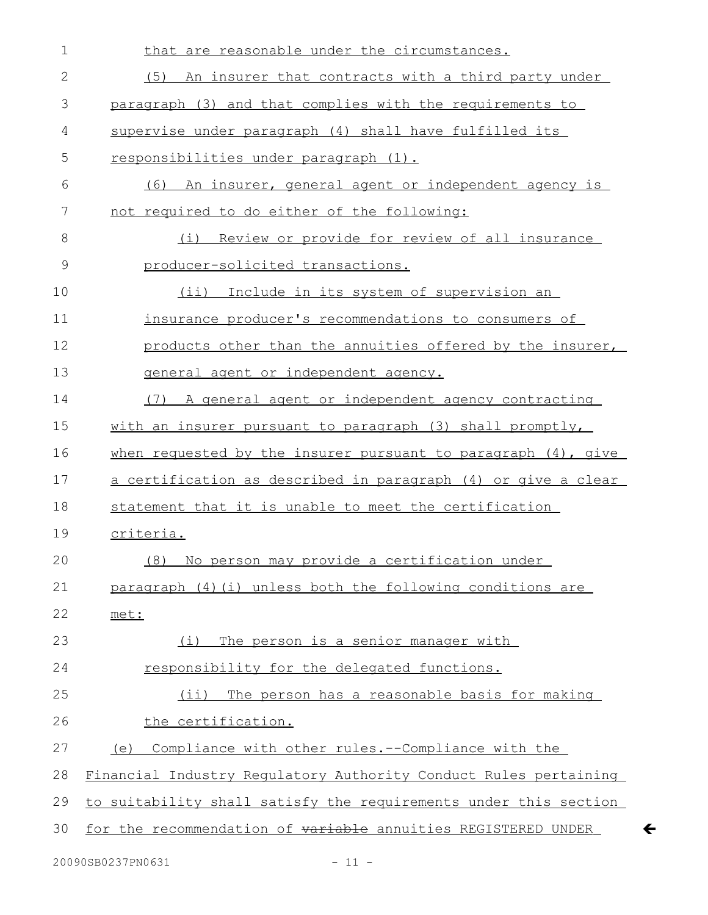| $\mathbf 1$  | that are reasonable under the circumstances.                         |
|--------------|----------------------------------------------------------------------|
| $\mathbf{2}$ | (5)<br>An insurer that contracts with a third party under            |
| 3            | paragraph (3) and that complies with the requirements to             |
| 4            | supervise under paragraph (4) shall have fulfilled its               |
| 5            | responsibilities under paragraph (1).                                |
| 6            | An insurer, general agent or independent agency is<br>(6)            |
| 7            | not required to do either of the following:                          |
| 8            | Review or provide for review of all insurance<br>(i)                 |
| $\mathsf 9$  | producer-solicited transactions.                                     |
| 10           | $(i$ ii)<br>Include in its system of supervision an                  |
| 11           | insurance producer's recommendations to consumers of                 |
| 12           | products other than the annuities offered by the insurer,            |
| 13           | general agent or independent agency.                                 |
| 14           | (7) A general agent or independent agency contracting                |
| 15           | with an insurer pursuant to paragraph (3) shall promptly,            |
| 16           | when requested by the insurer pursuant to paragraph $(4)$ , give     |
| 17           | <u>a certification as described in paragraph (4) or give a clear</u> |
| 18           | statement that it is unable to meet the certification                |
| 19           | criteria.                                                            |
| 20           | (8) No person may provide a certification under                      |
| 21           | paragraph (4) (i) unless both the following conditions are           |
| 22           | met:                                                                 |
| 23           | The person is a senior manager with<br>(i)                           |
| 24           | responsibility for the delegated functions.                          |
| 25           | (ii) The person has a reasonable basis for making                    |
| 26           | the certification.                                                   |
| 27           | Compliance with other rules.--Compliance with the<br>(e)             |
| 28           | Financial Industry Regulatory Authority Conduct Rules pertaining     |
| 29           | to suitability shall satisfy the requirements under this section     |
| 30           | for the recommendation of variable annuities REGISTERED UNDER        |
|              |                                                                      |

 $\leftarrow$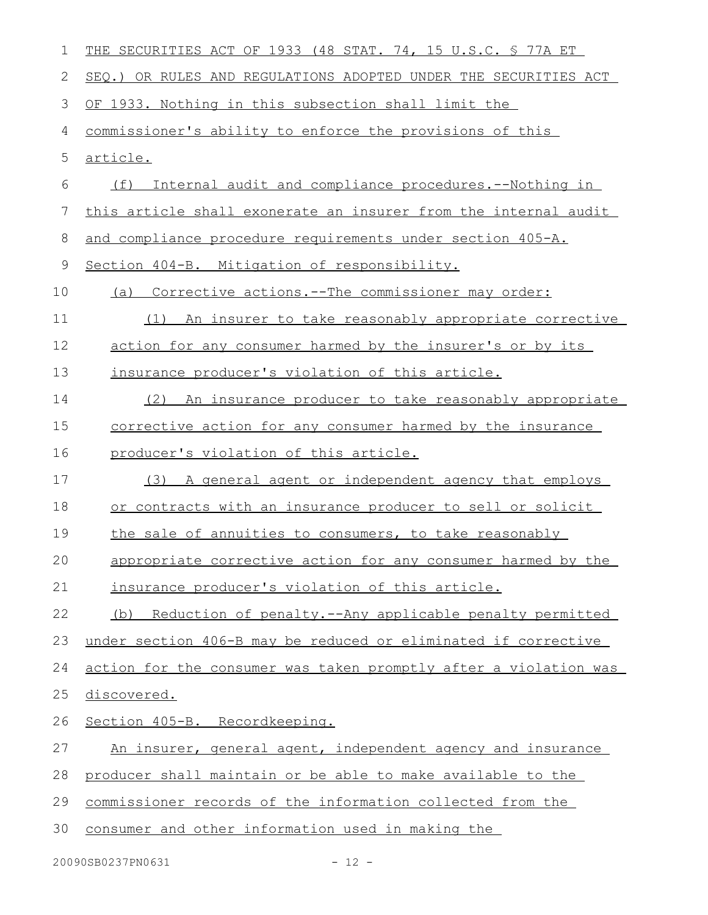| 1  | THE SECURITIES ACT OF 1933 (48 STAT. 74, 15 U.S.C. § 77A ET      |
|----|------------------------------------------------------------------|
| 2  | SEQ.) OR RULES AND REGULATIONS ADOPTED UNDER THE SECURITIES ACT  |
| 3  | OF 1933. Nothing in this subsection shall limit the              |
| 4  | commissioner's ability to enforce the provisions of this         |
| 5  | <u>article.</u>                                                  |
| 6  | Internal audit and compliance procedures.--Nothing in<br>(f)     |
| 7  | this article shall exonerate an insurer from the internal audit  |
| 8  | and compliance procedure requirements under section 405-A.       |
| 9  | Section 404-B. Mitigation of responsibility.                     |
| 10 | Corrective actions.--The commissioner may order:<br>(a)          |
| 11 | (1) An insurer to take reasonably appropriate corrective         |
| 12 | action for any consumer harmed by the insurer's or by its        |
| 13 | insurance producer's violation of this article.                  |
| 14 | An insurance producer to take reasonably appropriate<br>(2)      |
| 15 | corrective action for any consumer harmed by the insurance       |
| 16 | producer's violation of this article.                            |
| 17 | A general agent or independent agency that employs<br>(3)        |
| 18 | or contracts with an insurance producer to sell or solicit       |
| 19 | the sale of annuities to consumers, to take reasonably           |
| 20 | appropriate corrective action for any consumer harmed by the     |
| 21 | insurance producer's violation of this article.                  |
| 22 | Reduction of penalty.--Any applicable penalty permitted<br>(b)   |
| 23 | under section 406-B may be reduced or eliminated if corrective   |
| 24 | action for the consumer was taken promptly after a violation was |
| 25 | discovered.                                                      |
| 26 | Section 405-B. Recordkeeping.                                    |
| 27 | An insurer, general agent, independent agency and insurance      |
| 28 | producer shall maintain or be able to make available to the      |
| 29 | commissioner records of the information collected from the       |
| 30 | consumer and other information used in making the                |
|    |                                                                  |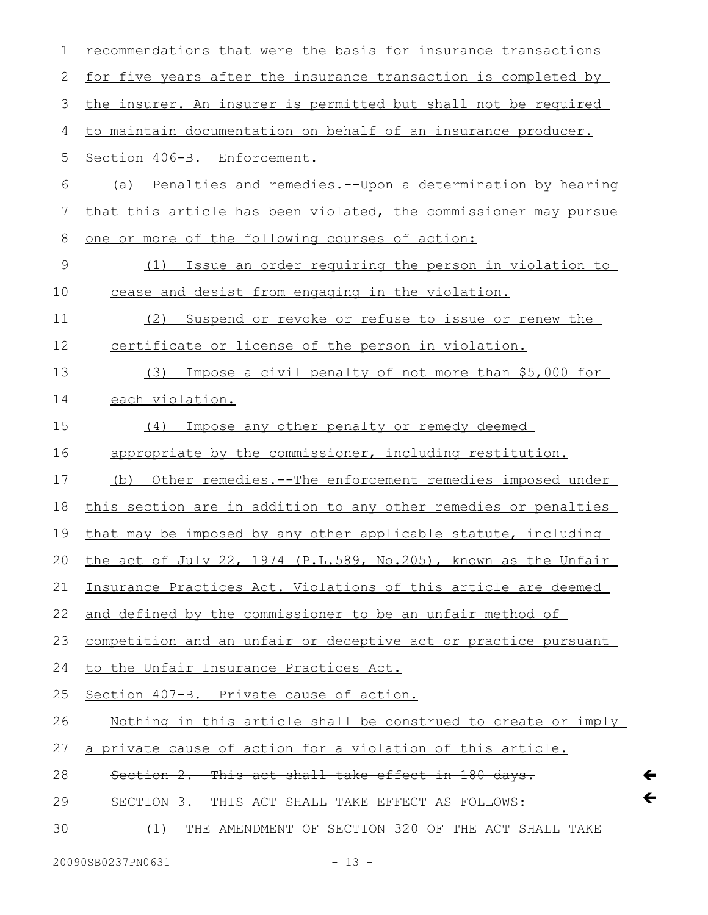| $\mathbf 1$   | recommendations that were the basis for insurance transactions        |
|---------------|-----------------------------------------------------------------------|
| 2             | <u>for five years after the insurance transaction is completed by</u> |
| $\mathcal{S}$ | the insurer. An insurer is permitted but shall not be required        |
| 4             | to maintain documentation on behalf of an insurance producer.         |
| 5             | Section 406-B. Enforcement.                                           |
| 6             | (a) Penalties and remedies.--Upon a determination by hearing          |
| 7             | that this article has been violated, the commissioner may pursue      |
| 8             | one or more of the following courses of action:                       |
| $\mathsf 9$   | Issue an order requiring the person in violation to<br>(1)            |
| 10            | cease and desist from engaging in the violation.                      |
| 11            | (2)<br>Suspend or revoke or refuse to issue or renew the              |
| 12            | certificate or license of the person in violation.                    |
| 13            | Impose a civil penalty of not more than \$5,000 for<br>(3)            |
| 14            | each violation.                                                       |
| 15            | Impose any other penalty or remedy deemed<br>(4)                      |
| 16            | appropriate by the commissioner, including restitution.               |
| 17            | (b) Other remedies.--The enforcement remedies imposed under           |
| 18            | this section are in addition to any other remedies or penalties       |
| 19            | that may be imposed by any other applicable statute, including        |
| 20            | the act of July 22, 1974 (P.L.589, No.205), known as the Unfair       |
| 21            | Insurance Practices Act. Violations of this article are deemed        |
| 22            | and defined by the commissioner to be an unfair method of             |
| 23            | competition and an unfair or deceptive act or practice pursuant       |
| 24            | to the Unfair Insurance Practices Act.                                |
| 25            | Section 407-B. Private cause of action.                               |
| 26            | Nothing in this article shall be construed to create or imply         |
| 27            | a private cause of action for a violation of this article.            |
| 28            | Section 2. This act shall take effect in 180 days.                    |
| 29            | THIS ACT SHALL TAKE EFFECT AS FOLLOWS:<br>SECTION 3.                  |
| 30            | THE AMENDMENT OF SECTION 320 OF THE ACT SHALL TAKE<br>(1)             |
|               | 20090SB0237PN0631<br>$-13 -$                                          |

 $\leftarrow$  $\leftarrow$